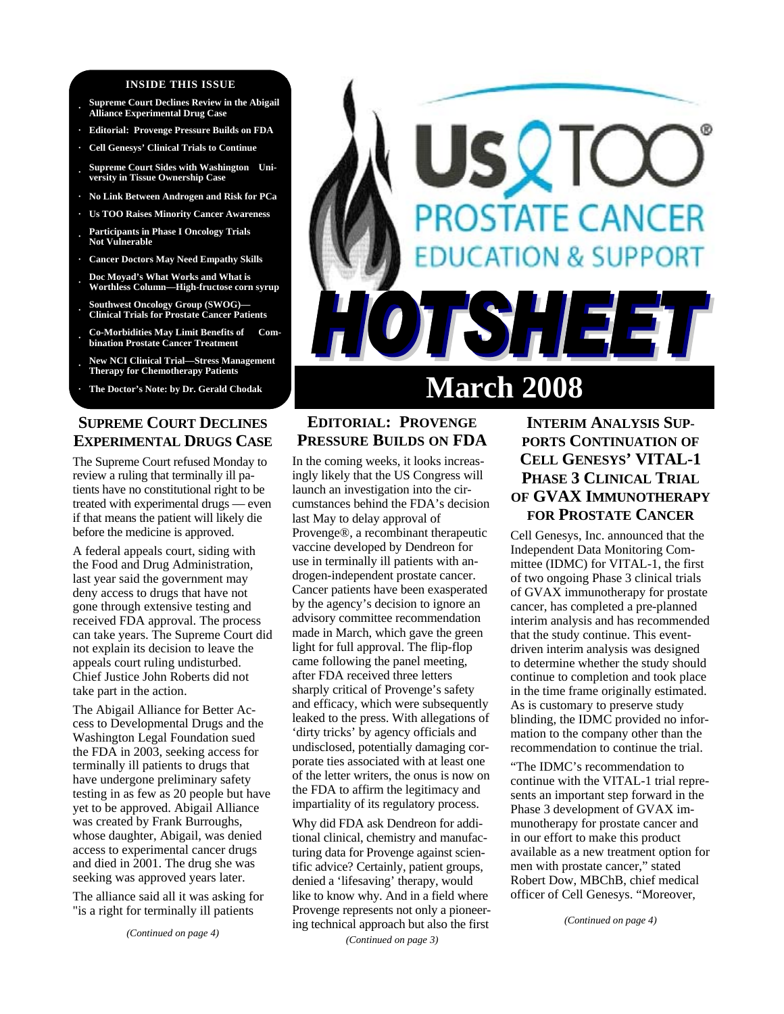#### **INSIDE THIS ISSUE**

- **· Supreme Court Declines Review in the Abigail Alliance Experimental Drug Case**
- **· Editorial: Provenge Pressure Builds on FDA**
- **· Cell Genesys' Clinical Trials to Continue**
- **Supreme Court Sides with Washington University in Tissue Ownership Case**
- **· No Link Between Androgen and Risk for PCa**
- **· Us TOO Raises Minority Cancer Awareness**
- **· Participants in Phase I Oncology Trials Not Vulnerable**
- **· Cancer Doctors May Need Empathy Skills**
- **· Doc Moyad's What Works and What is Worthless Column—High-fructose corn syrup**
- **· Southwest Oncology Group (SWOG)— Clinical Trials for Prostate Cancer Patients**
- **· Co-Morbidities May Limit Benefits of Com-bination Prostate Cancer Treatment**
- **· New NCI Clinical Trial—Stress Management Therapy for Chemotherapy Patients**
- **· The Doctor's Note: by Dr. Gerald Chodak**

## **SUPREME COURT DECLINES EXPERIMENTAL DRUGS CASE**

The Supreme Court refused Monday to review a ruling that terminally ill patients have no constitutional right to be treated with experimental drugs — even if that means the patient will likely die before the medicine is approved.

A federal appeals court, siding with the Food and Drug Administration, last year said the government may deny access to drugs that have not gone through extensive testing and received FDA approval. The process can take years. The Supreme Court did not explain its decision to leave the appeals court ruling undisturbed. Chief Justice John Roberts did not take part in the action.

The Abigail Alliance for Better Access to Developmental Drugs and the Washington Legal Foundation sued the FDA in 2003, seeking access for terminally ill patients to drugs that have undergone preliminary safety testing in as few as 20 people but have yet to be approved. Abigail Alliance was created by Frank Burroughs, whose daughter, Abigail, was denied access to experimental cancer drugs and died in 2001. The drug she was seeking was approved years later.

The alliance said all it was asking for "is a right for terminally ill patients

# S ROSTATE CANCER **ION & SUPPORT** rshlaa **March 2008**

## **EDITORIAL: PROVENGE PRESSURE BUILDS ON FDA**

In the coming weeks, it looks increasingly likely that the US Congress will launch an investigation into the circumstances behind the FDA's decision last May to delay approval of Provenge®, a recombinant therapeutic vaccine developed by Dendreon for use in terminally ill patients with androgen-independent prostate cancer. Cancer patients have been exasperated by the agency's decision to ignore an advisory committee recommendation made in March, which gave the green light for full approval. The flip-flop came following the panel meeting, after FDA received three letters sharply critical of Provenge's safety and efficacy, which were subsequently leaked to the press. With allegations of 'dirty tricks' by agency officials and undisclosed, potentially damaging corporate ties associated with at least one of the letter writers, the onus is now on the FDA to affirm the legitimacy and impartiality of its regulatory process.

Why did FDA ask Dendreon for additional clinical, chemistry and manufacturing data for Provenge against scientific advice? Certainly, patient groups, denied a 'lifesaving' therapy, would like to know why. And in a field where Provenge represents not only a pioneering technical approach but also the first

**INTERIM ANALYSIS SUP-PORTS CONTINUATION OF CELL GENESYS' VITAL-1 PHASE 3 CLINICAL TRIAL OF GVAX IMMUNOTHERAPY FOR PROSTATE CANCER**

Cell Genesys, Inc. announced that the Independent Data Monitoring Committee (IDMC) for VITAL-1, the first of two ongoing Phase 3 clinical trials of GVAX immunotherapy for prostate cancer, has completed a pre-planned interim analysis and has recommended that the study continue. This eventdriven interim analysis was designed to determine whether the study should continue to completion and took place in the time frame originally estimated. As is customary to preserve study blinding, the IDMC provided no information to the company other than the recommendation to continue the trial.

"The IDMC's recommendation to continue with the VITAL-1 trial represents an important step forward in the Phase 3 development of GVAX immunotherapy for prostate cancer and in our effort to make this product available as a new treatment option for men with prostate cancer," stated Robert Dow, MBChB, chief medical officer of Cell Genesys. "Moreover,

*(Continued on page 4)*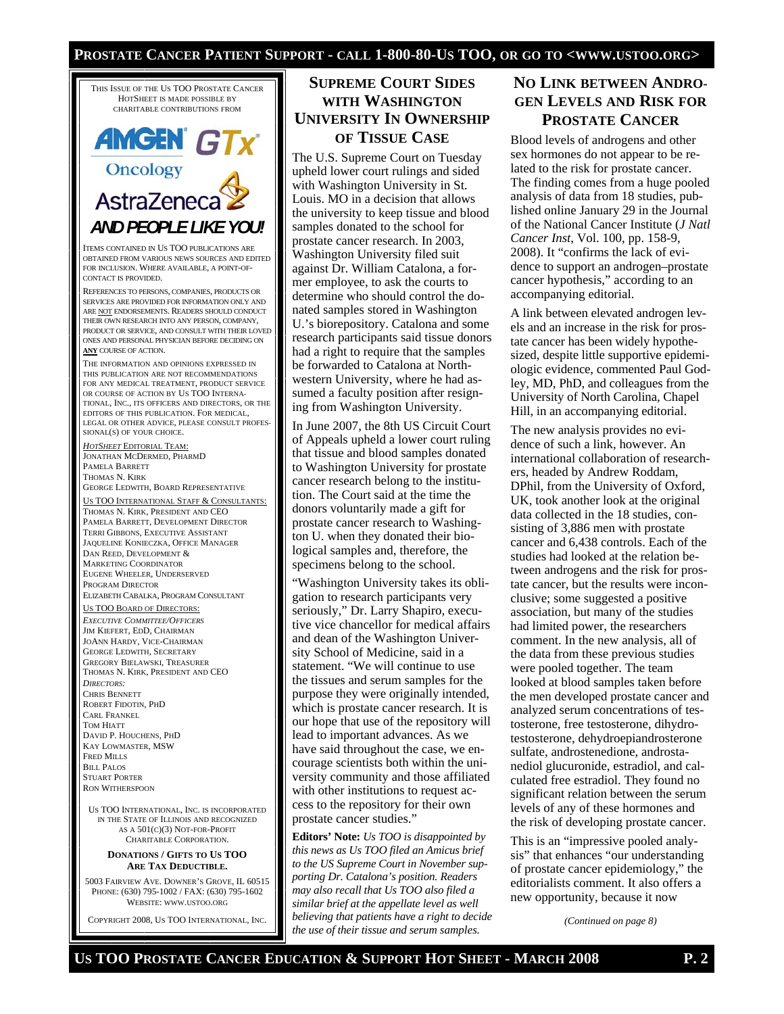#### **PROSTATE CANCER PATIENT SUPPORT - CALL 1-800-80-US TOO, OR GO TO <WWW.USTOO.ORG>**

THIS ISSUE OF THE US TOO PROSTATE CANCER HOTSHEET IS MADE POSSIBLE BY CHARITABLE CONTRIBUTIONS FROM

## **AMGEN GTX** Oncology AstraZeneca *AND PEOPLE LIKE YOU!*

ITEMS CONTAINED IN US TOO PUBLICATIONS ARE OBTAINED FROM VARIOUS NEWS SOURCES AND EDITED FOR INCLUSION. WHERE AVAILABLE, A POINT-OF-CONTACT IS PROVIDED.

REFERENCES TO PERSONS, COMPANIES, PRODUCTS OR SERVICES ARE PROVIDED FOR INFORMATION ONLY AND ARE NOT ENDORSEMENTS. READERS SHOULD CONDUCT THEIR OWN RESEARCH INTO ANY PERSON, COMPANY, PRODUCT OR SERVICE, AND CONSULT WITH THEIR LOVED ONES AND PERSONAL PHYSICIAN BEFORE DECIDING ON **ANY** COURSE OF ACTION.

THE INFORMATION AND OPINIONS EXPRESSED IN THIS PUBLICATION ARE NOT RECOMMENDATIONS FOR ANY MEDICAL TREATMENT, PRODUCT SERVICE OR COURSE OF ACTION BY US TOO INTERNA-TIONAL, INC., ITS OFFICERS AND DIRECTORS, OR THE EDITORS OF THIS PUBLICATION. FOR MEDICAL, LEGAL OR OTHER ADVICE, PLEASE CONSULT PROFES-SIONAL(S) OF YOUR CHOICE.

*HOTSHEET* EDITORIAL TEAM: JONATHAN MCDERMED, PHARMD PAMELA BARRETT THOMAS N. KIRK GEORGE LEDWITH, BOARD REPRESENTATIVE

US TOO INTERNATIONAL STAFF & CONSULTANTS: THOMAS N. KIRK, PRESIDENT AND CEO PAMELA BARRETT, DEVELOPMENT DIRECTOR TERRI GIBBONS, EXECUTIVE ASSISTANT JAQUELINE KONIECZKA, OFFICE MANAGER DAN REED, DEVELOPMENT & MARKETING COORDINATOR EUGENE WHEELER, UNDERSERVED PROGRAM DIRECTOR ELIZABETH CABALKA, PROGRAM CONSULTANT US TOO BOARD OF DIRECTORS: *EXECUTIVE COMMITTEE/OFFICERS* JIM KIEFERT, EDD, CHAIRMAN JOANN HARDY, VICE-CHAIRMAN GEORGE LEDWITH, SECRETARY GREGORY BIELAWSKI, TREASURER THOMAS N. KIRK, PRESIDENT AND CEO *DIRECTORS:*  CHRIS BENNETT ROBERT FIDOTIN, PHD CARL FRANKEL TOM HIATT

DAVID P. HOUCHENS, PHD KAY LOWMASTER, MSW FRED MILLS BILL PALOS STUART PORTER RON WITHERSPOON

US TOO INTERNATIONAL, INC. IS INCORPORATED IN THE STATE OF ILLINOIS AND RECOGNIZED AS A  $501(c)(3)$  NOT-FOR-PROFIT CHARITABLE CORPORATION.

#### **DONATIONS / GIFTS TO US TOO ARE TAX DEDUCTIBLE.**

5003 FAIRVIEW AVE. DOWNER'S GROVE, IL 60515 PHONE: (630) 795-1002 / FAX: (630) 795-1602 WEBSITE: WWW.USTOO.ORG

COPYRIGHT 2008, US TOO INTERNATIONAL, INC.

## **SUPREME COURT SIDES WITH WASHINGTON UNIVERSITY IN OWNERSHIP OF TISSUE CASE**

The U.S. Supreme Court on Tuesday upheld lower court rulings and sided with Washington University in St. Louis. MO in a decision that allows the university to keep tissue and blood samples donated to the school for prostate cancer research. In 2003, Washington University filed suit against Dr. William Catalona, a former employee, to ask the courts to determine who should control the donated samples stored in Washington U.'s biorepository. Catalona and some research participants said tissue donors had a right to require that the samples be forwarded to Catalona at Northwestern University, where he had assumed a faculty position after resigning from Washington University.

In June 2007, the 8th US Circuit Court of Appeals upheld a lower court ruling that tissue and blood samples donated to Washington University for prostate cancer research belong to the institution. The Court said at the time the donors voluntarily made a gift for prostate cancer research to Washington U. when they donated their biological samples and, therefore, the specimens belong to the school.

"Washington University takes its obligation to research participants very seriously," Dr. Larry Shapiro, executive vice chancellor for medical affairs and dean of the Washington University School of Medicine, said in a statement. "We will continue to use the tissues and serum samples for the purpose they were originally intended, which is prostate cancer research. It is our hope that use of the repository will lead to important advances. As we have said throughout the case, we encourage scientists both within the university community and those affiliated with other institutions to request access to the repository for their own prostate cancer studies."

**Editors' Note:** *Us TOO is disappointed by this news as Us TOO filed an Amicus brief to the US Supreme Court in November supporting Dr. Catalona's position. Readers may also recall that Us TOO also filed a similar brief at the appellate level as well believing that patients have a right to decide the use of their tissue and serum samples.* 

## **NO LINK BETWEEN ANDRO-GEN LEVELS AND RISK FOR PROSTATE CANCER**

Blood levels of androgens and other sex hormones do not appear to be related to the risk for prostate cancer. The finding comes from a huge pooled analysis of data from 18 studies, published online January 29 in the Journal of the National Cancer Institute (*J Natl Cancer Inst*, Vol. 100, pp. 158-9, 2008). It "confirms the lack of evidence to support an androgen–prostate cancer hypothesis," according to an accompanying editorial.

A link between elevated androgen levels and an increase in the risk for prostate cancer has been widely hypothesized, despite little supportive epidemiologic evidence, commented Paul Godley, MD, PhD, and colleagues from the University of North Carolina, Chapel Hill, in an accompanying editorial.

The new analysis provides no evidence of such a link, however. An international collaboration of researchers, headed by Andrew Roddam, DPhil, from the University of Oxford, UK, took another look at the original data collected in the 18 studies, consisting of 3,886 men with prostate cancer and 6,438 controls. Each of the studies had looked at the relation between androgens and the risk for prostate cancer, but the results were inconclusive; some suggested a positive association, but many of the studies had limited power, the researchers comment. In the new analysis, all of the data from these previous studies were pooled together. The team looked at blood samples taken before the men developed prostate cancer and analyzed serum concentrations of testosterone, free testosterone, dihydrotestosterone, dehydroepiandrosterone sulfate, androstenedione, androstanediol glucuronide, estradiol, and calculated free estradiol. They found no significant relation between the serum levels of any of these hormones and the risk of developing prostate cancer.

This is an "impressive pooled analysis" that enhances "our understanding of prostate cancer epidemiology," the editorialists comment. It also offers a new opportunity, because it now

*(Continued on page 8)*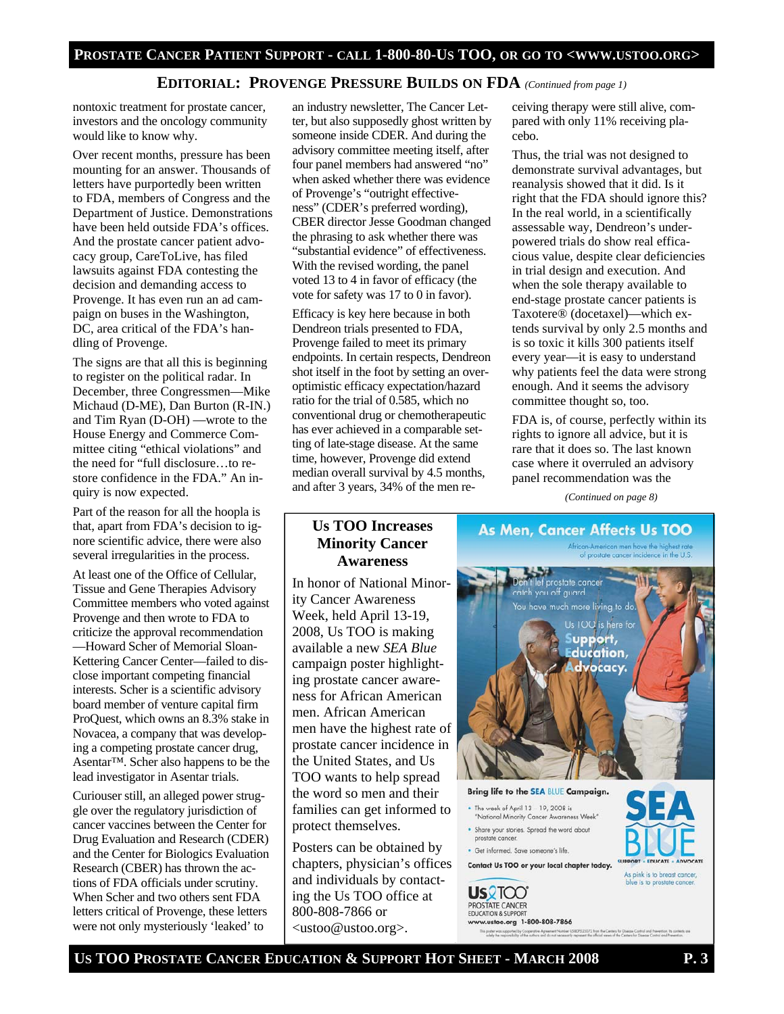#### **EDITORIAL: PROVENGE PRESSURE BUILDS ON FDA** *(Continued from page 1)*

nontoxic treatment for prostate cancer, investors and the oncology community would like to know why.

Over recent months, pressure has been mounting for an answer. Thousands of letters have purportedly been written to FDA, members of Congress and the Department of Justice. Demonstrations have been held outside FDA's offices. And the prostate cancer patient advocacy group, CareToLive, has filed lawsuits against FDA contesting the decision and demanding access to Provenge. It has even run an ad campaign on buses in the Washington, DC, area critical of the FDA's handling of Provenge.

The signs are that all this is beginning to register on the political radar. In December, three Congressmen—Mike Michaud (D-ME), Dan Burton (R-IN.) and Tim Ryan (D-OH) —wrote to the House Energy and Commerce Committee citing "ethical violations" and the need for "full disclosure…to restore confidence in the FDA." An inquiry is now expected.

Part of the reason for all the hoopla is that, apart from FDA's decision to ignore scientific advice, there were also several irregularities in the process.

At least one of the Office of Cellular, Tissue and Gene Therapies Advisory Committee members who voted against Provenge and then wrote to FDA to criticize the approval recommendation —Howard Scher of Memorial Sloan-Kettering Cancer Center—failed to disclose important competing financial interests. Scher is a scientific advisory board member of venture capital firm ProQuest, which owns an 8.3% stake in Novacea, a company that was developing a competing prostate cancer drug, Asentar™. Scher also happens to be the lead investigator in Asentar trials.

Curiouser still, an alleged power struggle over the regulatory jurisdiction of cancer vaccines between the Center for Drug Evaluation and Research (CDER) and the Center for Biologics Evaluation Research (CBER) has thrown the actions of FDA officials under scrutiny. When Scher and two others sent FDA letters critical of Provenge, these letters were not only mysteriously 'leaked' to

an industry newsletter, The Cancer Letter, but also supposedly ghost written by someone inside CDER. And during the advisory committee meeting itself, after four panel members had answered "no" when asked whether there was evidence of Provenge's "outright effectiveness" (CDER's preferred wording), CBER director Jesse Goodman changed the phrasing to ask whether there was "substantial evidence" of effectiveness. With the revised wording, the panel voted 13 to 4 in favor of efficacy (the vote for safety was 17 to 0 in favor).

Efficacy is key here because in both Dendreon trials presented to FDA, Provenge failed to meet its primary endpoints. In certain respects, Dendreon shot itself in the foot by setting an overoptimistic efficacy expectation/hazard ratio for the trial of 0.585, which no conventional drug or chemotherapeutic has ever achieved in a comparable setting of late-stage disease. At the same time, however, Provenge did extend median overall survival by 4.5 months, and after 3 years, 34% of the men receiving therapy were still alive, compared with only 11% receiving placebo.

Thus, the trial was not designed to demonstrate survival advantages, but reanalysis showed that it did. Is it right that the FDA should ignore this? In the real world, in a scientifically assessable way, Dendreon's underpowered trials do show real efficacious value, despite clear deficiencies in trial design and execution. And when the sole therapy available to end-stage prostate cancer patients is Taxotere® (docetaxel)—which extends survival by only 2.5 months and is so toxic it kills 300 patients itself every year—it is easy to understand why patients feel the data were strong enough. And it seems the advisory committee thought so, too.

FDA is, of course, perfectly within its rights to ignore all advice, but it is rare that it does so. The last known case where it overruled an advisory panel recommendation was the

*(Continued on page 8)* 

**As Men, Cancer Affects Us TOO** 

## **Us TOO Increases Minority Cancer Awareness**

In honor of National Minority Cancer Awareness Week, held April 13-19, 2008, Us TOO is making available a new *SEA Blue* campaign poster highlighting prostate cancer awareness for African American men. African American men have the highest rate of prostate cancer incidence in the United States, and Us TOO wants to help spread the word so men and their families can get informed to protect themselves.

Posters can be obtained by chapters, physician's offices and individuals by contacting the Us TOO office at 800-808-7866 or <ustoo@ustoo.org>.





**US TOO PROSTATE CANCER EDUCATION & SUPPORT HOT SHEET - MARCH 2008 P. 3** 

As pink is to breast cancer ue is to prostate cand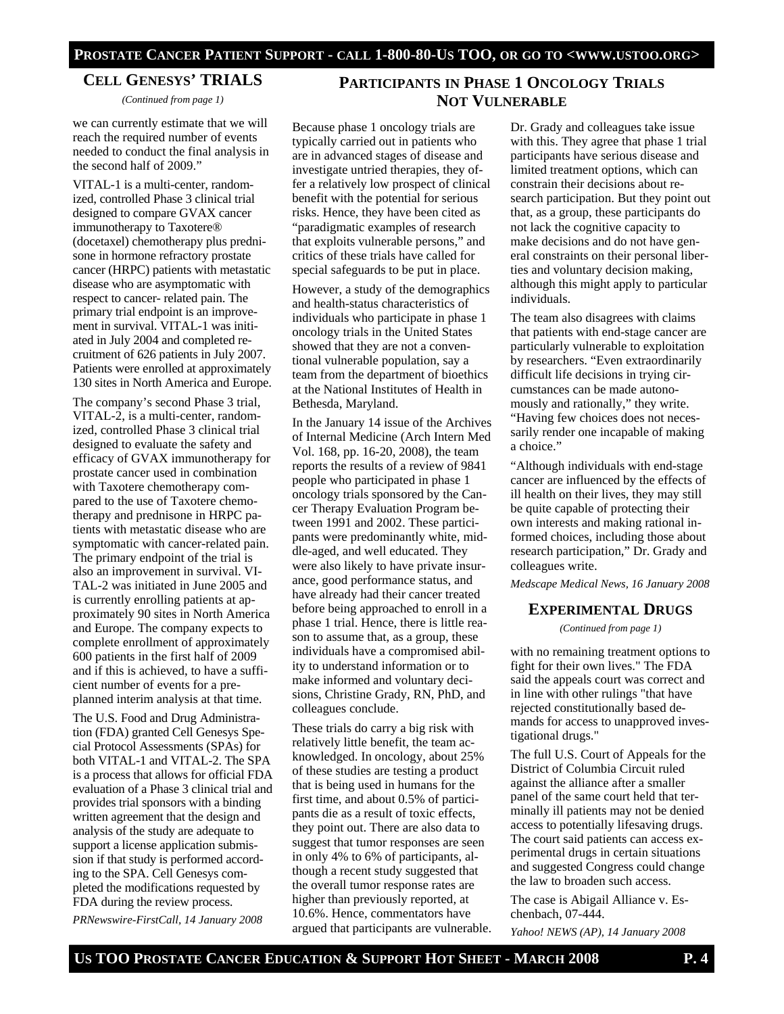## **CELL GENESYS' TRIALS**

*(Continued from page 1)* 

we can currently estimate that we will reach the required number of events needed to conduct the final analysis in the second half of 2009."

VITAL-1 is a multi-center, randomized, controlled Phase 3 clinical trial designed to compare GVAX cancer immunotherapy to Taxotere® (docetaxel) chemotherapy plus prednisone in hormone refractory prostate cancer (HRPC) patients with metastatic disease who are asymptomatic with respect to cancer- related pain. The primary trial endpoint is an improvement in survival. VITAL-1 was initiated in July 2004 and completed recruitment of 626 patients in July 2007. Patients were enrolled at approximately 130 sites in North America and Europe.

The company's second Phase 3 trial, VITAL-2, is a multi-center, randomized, controlled Phase 3 clinical trial designed to evaluate the safety and efficacy of GVAX immunotherapy for prostate cancer used in combination with Taxotere chemotherapy compared to the use of Taxotere chemotherapy and prednisone in HRPC patients with metastatic disease who are symptomatic with cancer-related pain. The primary endpoint of the trial is also an improvement in survival. VI-TAL-2 was initiated in June 2005 and is currently enrolling patients at approximately 90 sites in North America and Europe. The company expects to complete enrollment of approximately 600 patients in the first half of 2009 and if this is achieved, to have a sufficient number of events for a preplanned interim analysis at that time.

The U.S. Food and Drug Administration (FDA) granted Cell Genesys Special Protocol Assessments (SPAs) for both VITAL-1 and VITAL-2. The SPA is a process that allows for official FDA evaluation of a Phase 3 clinical trial and provides trial sponsors with a binding written agreement that the design and analysis of the study are adequate to support a license application submission if that study is performed according to the SPA. Cell Genesys completed the modifications requested by FDA during the review process.

*PRNewswire-FirstCall, 14 January 2008* 

## **PARTICIPANTS IN PHASE 1 ONCOLOGY TRIALS NOT VULNERABLE**

Because phase 1 oncology trials are typically carried out in patients who are in advanced stages of disease and investigate untried therapies, they offer a relatively low prospect of clinical benefit with the potential for serious risks. Hence, they have been cited as "paradigmatic examples of research that exploits vulnerable persons," and critics of these trials have called for special safeguards to be put in place.

However, a study of the demographics and health-status characteristics of individuals who participate in phase 1 oncology trials in the United States showed that they are not a conventional vulnerable population, say a team from the department of bioethics at the National Institutes of Health in Bethesda, Maryland.

In the January 14 issue of the Archives of Internal Medicine (Arch Intern Med Vol. 168, pp. 16-20, 2008), the team reports the results of a review of 9841 people who participated in phase 1 oncology trials sponsored by the Cancer Therapy Evaluation Program between 1991 and 2002. These participants were predominantly white, middle-aged, and well educated. They were also likely to have private insurance, good performance status, and have already had their cancer treated before being approached to enroll in a phase 1 trial. Hence, there is little reason to assume that, as a group, these individuals have a compromised ability to understand information or to make informed and voluntary decisions, Christine Grady, RN, PhD, and colleagues conclude.

These trials do carry a big risk with relatively little benefit, the team acknowledged. In oncology, about 25% of these studies are testing a product that is being used in humans for the first time, and about 0.5% of participants die as a result of toxic effects, they point out. There are also data to suggest that tumor responses are seen in only 4% to 6% of participants, although a recent study suggested that the overall tumor response rates are higher than previously reported, at 10.6%. Hence, commentators have argued that participants are vulnerable.

Dr. Grady and colleagues take issue with this. They agree that phase 1 trial participants have serious disease and limited treatment options, which can constrain their decisions about research participation. But they point out that, as a group, these participants do not lack the cognitive capacity to make decisions and do not have general constraints on their personal liberties and voluntary decision making, although this might apply to particular individuals.

The team also disagrees with claims that patients with end-stage cancer are particularly vulnerable to exploitation by researchers. "Even extraordinarily difficult life decisions in trying circumstances can be made autonomously and rationally," they write. "Having few choices does not necessarily render one incapable of making a choice."

"Although individuals with end-stage cancer are influenced by the effects of ill health on their lives, they may still be quite capable of protecting their own interests and making rational informed choices, including those about research participation," Dr. Grady and colleagues write.

*Medscape Medical News, 16 January 2008* 

#### **EXPERIMENTAL DRUGS**

*(Continued from page 1)* 

with no remaining treatment options to fight for their own lives." The FDA said the appeals court was correct and in line with other rulings "that have rejected constitutionally based demands for access to unapproved investigational drugs."

The full U.S. Court of Appeals for the District of Columbia Circuit ruled against the alliance after a smaller panel of the same court held that terminally ill patients may not be denied access to potentially lifesaving drugs. The court said patients can access experimental drugs in certain situations and suggested Congress could change the law to broaden such access.

The case is Abigail Alliance v. Eschenbach, 07-444.

*Yahoo! NEWS (AP), 14 January 2008*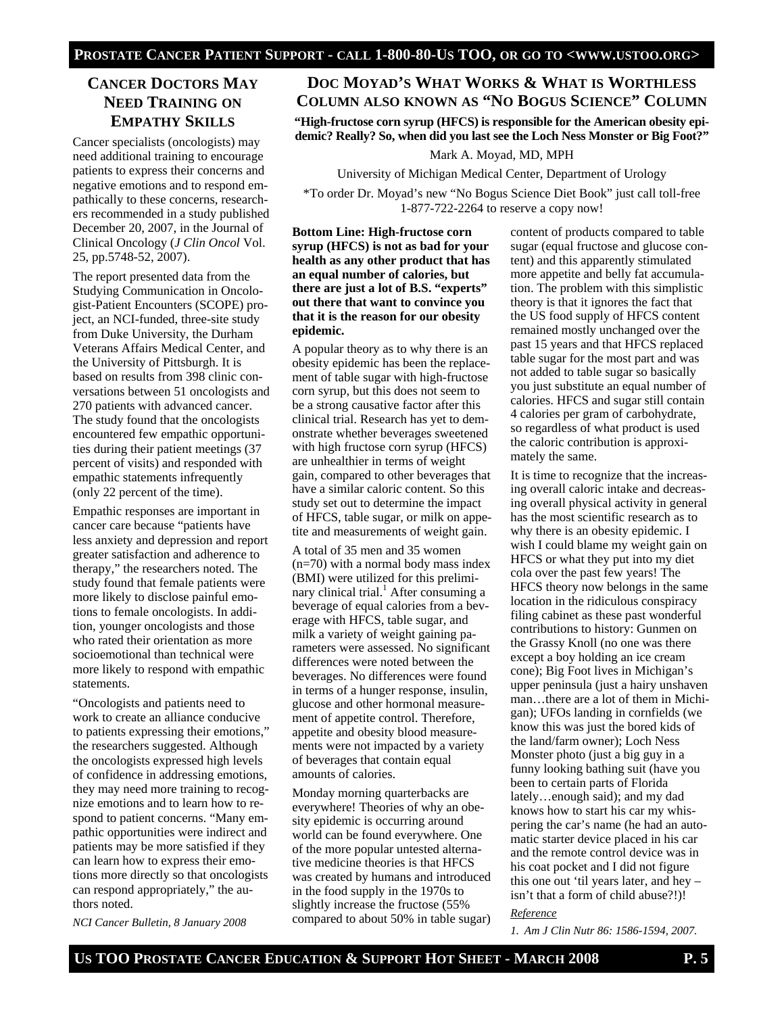## **CANCER DOCTORS MAY NEED TRAINING ON EMPATHY SKILLS**

Cancer specialists (oncologists) may need additional training to encourage patients to express their concerns and negative emotions and to respond empathically to these concerns, researchers recommended in a study published December 20, 2007, in the Journal of Clinical Oncology (*J Clin Oncol* Vol. 25, pp.5748-52, 2007).

The report presented data from the Studying Communication in Oncologist-Patient Encounters (SCOPE) project, an NCI-funded, three-site study from Duke University, the Durham Veterans Affairs Medical Center, and the University of Pittsburgh. It is based on results from 398 clinic conversations between 51 oncologists and 270 patients with advanced cancer. The study found that the oncologists encountered few empathic opportunities during their patient meetings (37 percent of visits) and responded with empathic statements infrequently (only 22 percent of the time).

Empathic responses are important in cancer care because "patients have less anxiety and depression and report greater satisfaction and adherence to therapy," the researchers noted. The study found that female patients were more likely to disclose painful emotions to female oncologists. In addition, younger oncologists and those who rated their orientation as more socioemotional than technical were more likely to respond with empathic statements.

"Oncologists and patients need to work to create an alliance conducive to patients expressing their emotions," the researchers suggested. Although the oncologists expressed high levels of confidence in addressing emotions, they may need more training to recognize emotions and to learn how to respond to patient concerns. "Many empathic opportunities were indirect and patients may be more satisfied if they can learn how to express their emotions more directly so that oncologists can respond appropriately," the authors noted.

*NCI Cancer Bulletin, 8 January 2008* 

## **DOC MOYAD'S WHAT WORKS & WHAT IS WORTHLESS COLUMN ALSO KNOWN AS "NO BOGUS SCIENCE" COLUMN**

**"High-fructose corn syrup (HFCS) is responsible for the American obesity epidemic? Really? So, when did you last see the Loch Ness Monster or Big Foot?"**

Mark A. Moyad, MD, MPH

University of Michigan Medical Center, Department of Urology

\*To order Dr. Moyad's new "No Bogus Science Diet Book" just call toll-free 1-877-722-2264 to reserve a copy now!

#### **Bottom Line: High-fructose corn syrup (HFCS) is not as bad for your health as any other product that has an equal number of calories, but there are just a lot of B.S. "experts" out there that want to convince you that it is the reason for our obesity epidemic.**

A popular theory as to why there is an obesity epidemic has been the replacement of table sugar with high-fructose corn syrup, but this does not seem to be a strong causative factor after this clinical trial. Research has yet to demonstrate whether beverages sweetened with high fructose corn syrup (HFCS) are unhealthier in terms of weight gain, compared to other beverages that have a similar caloric content. So this study set out to determine the impact of HFCS, table sugar, or milk on appetite and measurements of weight gain.

A total of 35 men and 35 women (n=70) with a normal body mass index (BMI) were utilized for this preliminary clinical trial.<sup>1</sup> After consuming a beverage of equal calories from a beverage with HFCS, table sugar, and milk a variety of weight gaining parameters were assessed. No significant differences were noted between the beverages. No differences were found in terms of a hunger response, insulin, glucose and other hormonal measurement of appetite control. Therefore, appetite and obesity blood measurements were not impacted by a variety of beverages that contain equal amounts of calories.

Monday morning quarterbacks are everywhere! Theories of why an obesity epidemic is occurring around world can be found everywhere. One of the more popular untested alternative medicine theories is that HFCS was created by humans and introduced in the food supply in the 1970s to slightly increase the fructose (55% compared to about 50% in table sugar)

content of products compared to table sugar (equal fructose and glucose content) and this apparently stimulated more appetite and belly fat accumulation. The problem with this simplistic theory is that it ignores the fact that the US food supply of HFCS content remained mostly unchanged over the past 15 years and that HFCS replaced table sugar for the most part and was not added to table sugar so basically you just substitute an equal number of calories. HFCS and sugar still contain 4 calories per gram of carbohydrate, so regardless of what product is used the caloric contribution is approximately the same.

It is time to recognize that the increasing overall caloric intake and decreasing overall physical activity in general has the most scientific research as to why there is an obesity epidemic. I wish I could blame my weight gain on HFCS or what they put into my diet cola over the past few years! The HFCS theory now belongs in the same location in the ridiculous conspiracy filing cabinet as these past wonderful contributions to history: Gunmen on the Grassy Knoll (no one was there except a boy holding an ice cream cone); Big Foot lives in Michigan's upper peninsula (just a hairy unshaven man…there are a lot of them in Michigan); UFOs landing in cornfields (we know this was just the bored kids of the land/farm owner); Loch Ness Monster photo (just a big guy in a funny looking bathing suit (have you been to certain parts of Florida lately…enough said); and my dad knows how to start his car my whispering the car's name (he had an automatic starter device placed in his car and the remote control device was in his coat pocket and I did not figure this one out 'til years later, and hey – isn't that a form of child abuse?!)!

#### *Reference*

*1. Am J Clin Nutr 86: 1586-1594, 2007.*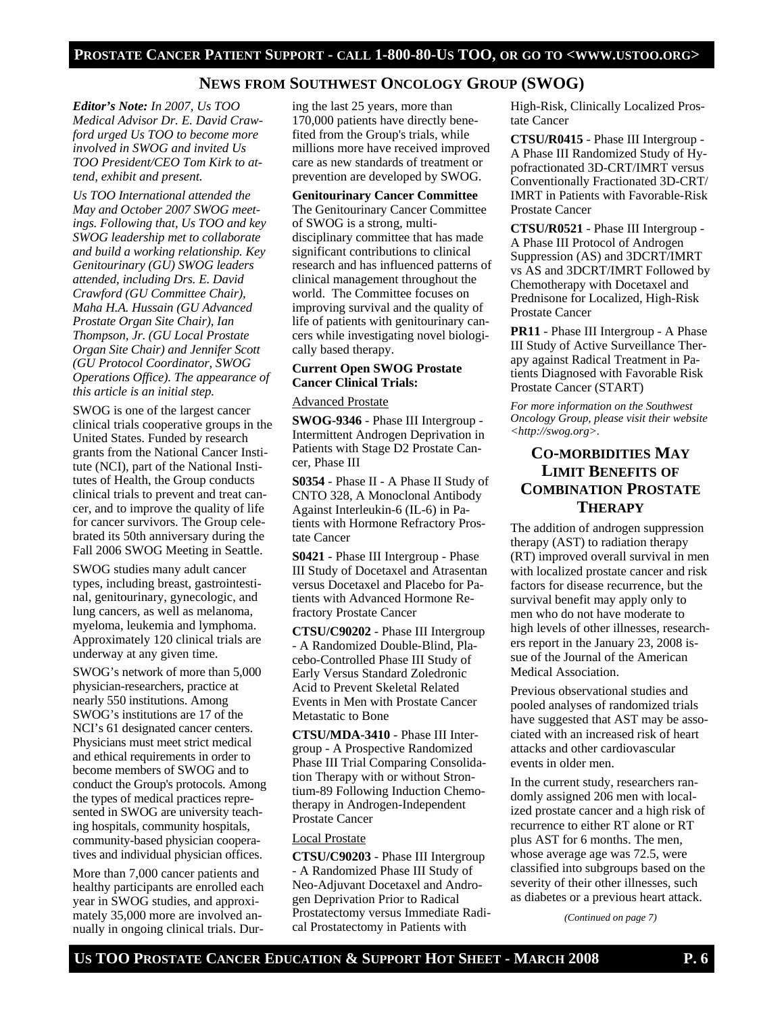### **NEWS FROM SOUTHWEST ONCOLOGY GROUP (SWOG)**

*Editor's Note: In 2007, Us TOO Medical Advisor Dr. E. David Crawford urged Us TOO to become more involved in SWOG and invited Us TOO President/CEO Tom Kirk to attend, exhibit and present.* 

*Us TOO International attended the May and October 2007 SWOG meetings. Following that, Us TOO and key SWOG leadership met to collaborate and build a working relationship. Key Genitourinary (GU) SWOG leaders attended, including Drs. E. David Crawford (GU Committee Chair), Maha H.A. Hussain (GU Advanced Prostate Organ Site Chair), Ian Thompson, Jr. (GU Local Prostate Organ Site Chair) and Jennifer Scott (GU Protocol Coordinator, SWOG Operations Office). The appearance of this article is an initial step.* 

SWOG is one of the largest cancer clinical trials cooperative groups in the United States. Funded by research grants from the National Cancer Institute (NCI), part of the National Institutes of Health, the Group conducts clinical trials to prevent and treat cancer, and to improve the quality of life for cancer survivors. The Group celebrated its 50th anniversary during the Fall 2006 SWOG Meeting in Seattle.

SWOG studies many adult cancer types, including breast, gastrointestinal, genitourinary, gynecologic, and lung cancers, as well as melanoma, myeloma, leukemia and lymphoma. Approximately 120 clinical trials are underway at any given time.

SWOG's network of more than 5,000 physician-researchers, practice at nearly 550 institutions. Among SWOG's institutions are 17 of the NCI's 61 designated cancer centers. Physicians must meet strict medical and ethical requirements in order to become members of SWOG and to conduct the Group's protocols. Among the types of medical practices represented in SWOG are university teaching hospitals, community hospitals, community-based physician cooperatives and individual physician offices.

More than 7,000 cancer patients and healthy participants are enrolled each year in SWOG studies, and approximately 35,000 more are involved annually in ongoing clinical trials. Dur-

ing the last 25 years, more than 170,000 patients have directly benefited from the Group's trials, while millions more have received improved care as new standards of treatment or prevention are developed by SWOG.

**Genitourinary Cancer Committee**  The Genitourinary Cancer Committee

of SWOG is a strong, multidisciplinary committee that has made significant contributions to clinical research and has influenced patterns of clinical management throughout the world. The Committee focuses on improving survival and the quality of life of patients with genitourinary cancers while investigating novel biologically based therapy.

#### **Current Open SWOG Prostate Cancer Clinical Trials:**

#### Advanced Prostate

**SWOG-9346** - Phase III Intergroup - Intermittent Androgen Deprivation in Patients with Stage D2 Prostate Cancer, Phase III

**S0354** - Phase II - A Phase II Study of CNTO 328, A Monoclonal Antibody Against Interleukin-6 (IL-6) in Patients with Hormone Refractory Prostate Cancer

**S0421** - Phase III Intergroup - Phase III Study of Docetaxel and Atrasentan versus Docetaxel and Placebo for Patients with Advanced Hormone Refractory Prostate Cancer

**CTSU/C90202** - Phase III Intergroup - A Randomized Double-Blind, Placebo-Controlled Phase III Study of Early Versus Standard Zoledronic Acid to Prevent Skeletal Related Events in Men with Prostate Cancer Metastatic to Bone

**CTSU/MDA-3410** - Phase III Intergroup - A Prospective Randomized Phase III Trial Comparing Consolidation Therapy with or without Strontium-89 Following Induction Chemotherapy in Androgen-Independent Prostate Cancer

#### Local Prostate

**CTSU/C90203** - Phase III Intergroup - A Randomized Phase III Study of Neo-Adjuvant Docetaxel and Androgen Deprivation Prior to Radical Prostatectomy versus Immediate Radical Prostatectomy in Patients with

High-Risk, Clinically Localized Prostate Cancer

**CTSU/R0415** - Phase III Intergroup - A Phase III Randomized Study of Hypofractionated 3D-CRT/IMRT versus Conventionally Fractionated 3D-CRT/ IMRT in Patients with Favorable-Risk Prostate Cancer

**CTSU/R0521** - Phase III Intergroup - A Phase III Protocol of Androgen Suppression (AS) and 3DCRT/IMRT vs AS and 3DCRT/IMRT Followed by Chemotherapy with Docetaxel and Prednisone for Localized, High-Risk Prostate Cancer

**PR11** - Phase III Intergroup - A Phase III Study of Active Surveillance Therapy against Radical Treatment in Patients Diagnosed with Favorable Risk Prostate Cancer (START)

*For more information on the Southwest Oncology Group, please visit their website <http://swog.org>.* 

## **CO-MORBIDITIES MAY LIMIT BENEFITS OF COMBINATION PROSTATE THERAPY**

The addition of androgen suppression therapy (AST) to radiation therapy (RT) improved overall survival in men with localized prostate cancer and risk factors for disease recurrence, but the survival benefit may apply only to men who do not have moderate to high levels of other illnesses, researchers report in the January 23, 2008 issue of the Journal of the American Medical Association.

Previous observational studies and pooled analyses of randomized trials have suggested that AST may be associated with an increased risk of heart attacks and other cardiovascular events in older men.

In the current study, researchers randomly assigned 206 men with localized prostate cancer and a high risk of recurrence to either RT alone or RT plus AST for 6 months. The men, whose average age was 72.5, were classified into subgroups based on the severity of their other illnesses, such as diabetes or a previous heart attack.

*(Continued on page 7)*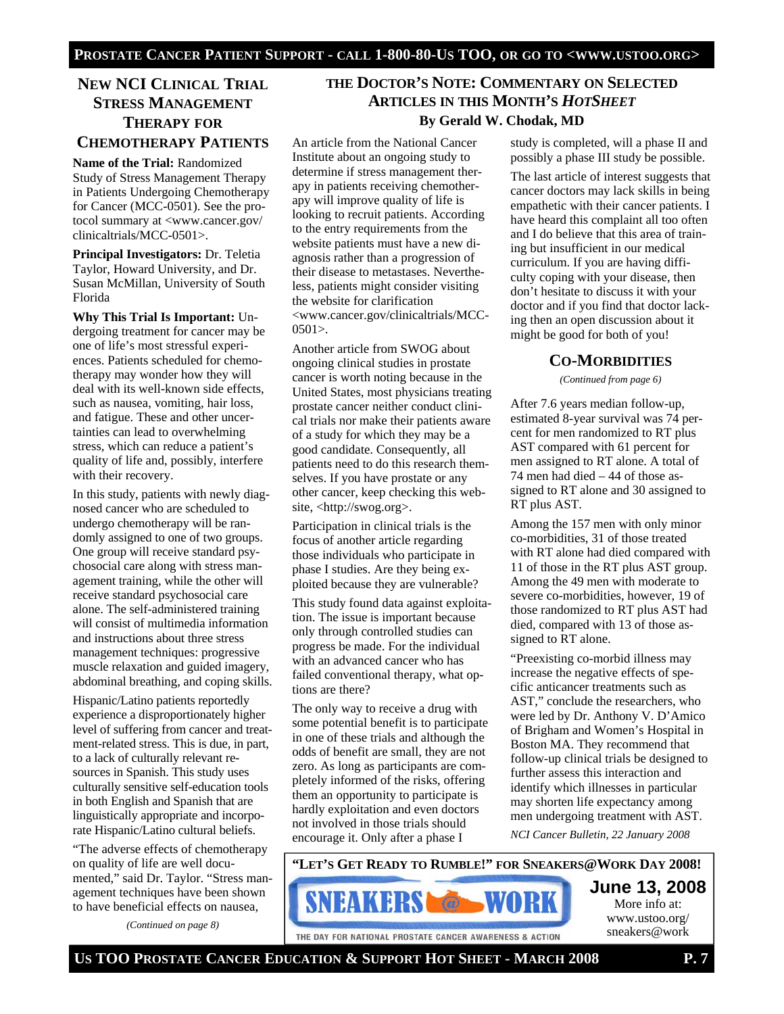## **NEW NCI CLINICAL TRIAL STRESS MANAGEMENT THERAPY FOR CHEMOTHERAPY PATIENTS**

**Name of the Trial:** Randomized Study of Stress Management Therapy in Patients Undergoing Chemotherapy for Cancer (MCC-0501). See the protocol summary at <www.cancer.gov/ clinicaltrials/MCC-0501>.

**Principal Investigators:** Dr. Teletia Taylor, Howard University, and Dr. Susan McMillan, University of South Florida

**Why This Trial Is Important:** Undergoing treatment for cancer may be one of life's most stressful experiences. Patients scheduled for chemotherapy may wonder how they will deal with its well-known side effects, such as nausea, vomiting, hair loss, and fatigue. These and other uncertainties can lead to overwhelming stress, which can reduce a patient's quality of life and, possibly, interfere with their recovery.

In this study, patients with newly diagnosed cancer who are scheduled to undergo chemotherapy will be randomly assigned to one of two groups. One group will receive standard psychosocial care along with stress management training, while the other will receive standard psychosocial care alone. The self-administered training will consist of multimedia information and instructions about three stress management techniques: progressive muscle relaxation and guided imagery, abdominal breathing, and coping skills.

Hispanic/Latino patients reportedly experience a disproportionately higher level of suffering from cancer and treatment-related stress. This is due, in part, to a lack of culturally relevant resources in Spanish. This study uses culturally sensitive self-education tools in both English and Spanish that are linguistically appropriate and incorporate Hispanic/Latino cultural beliefs.

"The adverse effects of chemotherapy on quality of life are well documented," said Dr. Taylor. "Stress management techniques have been shown to have beneficial effects on nausea,

*(Continued on page 8)* 

## **THE DOCTOR'S NOTE: COMMENTARY ON SELECTED ARTICLES IN THIS MONTH'S** *HOTSHEET* **By Gerald W. Chodak, MD**

An article from the National Cancer Institute about an ongoing study to determine if stress management therapy in patients receiving chemotherapy will improve quality of life is looking to recruit patients. According to the entry requirements from the website patients must have a new diagnosis rather than a progression of their disease to metastases. Nevertheless, patients might consider visiting the website for clarification <www.cancer.gov/clinicaltrials/MCC-0501>.

Another article from SWOG about ongoing clinical studies in prostate cancer is worth noting because in the United States, most physicians treating prostate cancer neither conduct clinical trials nor make their patients aware of a study for which they may be a good candidate. Consequently, all patients need to do this research themselves. If you have prostate or any other cancer, keep checking this website, <http://swog.org>.

Participation in clinical trials is the focus of another article regarding those individuals who participate in phase I studies. Are they being exploited because they are vulnerable?

This study found data against exploitation. The issue is important because only through controlled studies can progress be made. For the individual with an advanced cancer who has failed conventional therapy, what options are there?

The only way to receive a drug with some potential benefit is to participate in one of these trials and although the odds of benefit are small, they are not zero. As long as participants are completely informed of the risks, offering them an opportunity to participate is hardly exploitation and even doctors not involved in those trials should encourage it. Only after a phase I

study is completed, will a phase II and possibly a phase III study be possible.

The last article of interest suggests that cancer doctors may lack skills in being empathetic with their cancer patients. I have heard this complaint all too often and I do believe that this area of training but insufficient in our medical curriculum. If you are having difficulty coping with your disease, then don't hesitate to discuss it with your doctor and if you find that doctor lacking then an open discussion about it might be good for both of you!

#### **CO-MORBIDITIES**

*(Continued from page 6)* 

After 7.6 years median follow-up, estimated 8-year survival was 74 percent for men randomized to RT plus AST compared with 61 percent for men assigned to RT alone. A total of 74 men had died – 44 of those assigned to RT alone and 30 assigned to RT plus AST.

Among the 157 men with only minor co-morbidities, 31 of those treated with RT alone had died compared with 11 of those in the RT plus AST group. Among the 49 men with moderate to severe co-morbidities, however, 19 of those randomized to RT plus AST had died, compared with 13 of those assigned to RT alone.

"Preexisting co-morbid illness may increase the negative effects of specific anticancer treatments such as AST," conclude the researchers, who were led by Dr. Anthony V. D'Amico of Brigham and Women's Hospital in Boston MA. They recommend that follow-up clinical trials be designed to further assess this interaction and identify which illnesses in particular may shorten life expectancy among men undergoing treatment with AST. *NCI Cancer Bulletin, 22 January 2008* 

**"LET'S GET READY TO RUMBLE!" FOR SNEAKERS@WORK DAY 2008! June 13, 2008 SNEAKERS & WORK** More info at: www.ustoo.org/ sneakers@work THE DAY FOR NATIONAL PROSTATE CANCER AWARENESS & ACTION

US TOO PROSTATE CANCER EDUCATION & SUPPORT HOT SHEET - MARCH 2008 P. 7